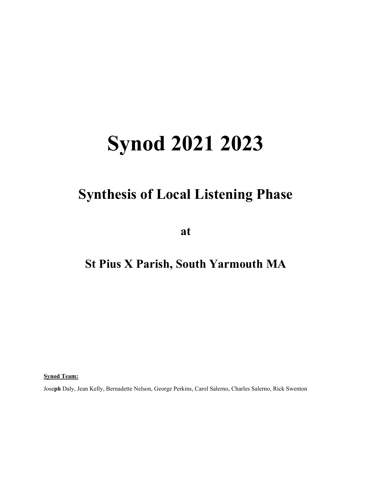# Synod 2021 2023

# Synthesis of Local Listening Phase

at

# St Pius X Parish, South Yarmouth MA

Synod Team:

Joseph Daly, Jean Kelly, Bernadette Nelson, George Perkins, Carol Salerno, Charles Salerno, Rick Swenton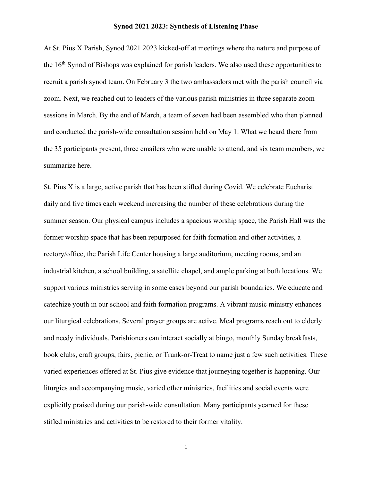#### Synod 2021 2023: Synthesis of Listening Phase

At St. Pius X Parish, Synod 2021 2023 kicked-off at meetings where the nature and purpose of the  $16<sup>th</sup>$  Synod of Bishops was explained for parish leaders. We also used these opportunities to recruit a parish synod team. On February 3 the two ambassadors met with the parish council via zoom. Next, we reached out to leaders of the various parish ministries in three separate zoom sessions in March. By the end of March, a team of seven had been assembled who then planned and conducted the parish-wide consultation session held on May 1. What we heard there from the 35 participants present, three emailers who were unable to attend, and six team members, we summarize here.

St. Pius X is a large, active parish that has been stifled during Covid. We celebrate Eucharist daily and five times each weekend increasing the number of these celebrations during the summer season. Our physical campus includes a spacious worship space, the Parish Hall was the former worship space that has been repurposed for faith formation and other activities, a rectory/office, the Parish Life Center housing a large auditorium, meeting rooms, and an industrial kitchen, a school building, a satellite chapel, and ample parking at both locations. We support various ministries serving in some cases beyond our parish boundaries. We educate and catechize youth in our school and faith formation programs. A vibrant music ministry enhances our liturgical celebrations. Several prayer groups are active. Meal programs reach out to elderly and needy individuals. Parishioners can interact socially at bingo, monthly Sunday breakfasts, book clubs, craft groups, fairs, picnic, or Trunk-or-Treat to name just a few such activities. These varied experiences offered at St. Pius give evidence that journeying together is happening. Our liturgies and accompanying music, varied other ministries, facilities and social events were explicitly praised during our parish-wide consultation. Many participants yearned for these stifled ministries and activities to be restored to their former vitality.

1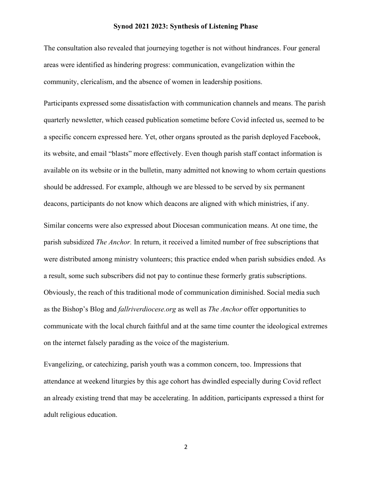#### Synod 2021 2023: Synthesis of Listening Phase

The consultation also revealed that journeying together is not without hindrances. Four general areas were identified as hindering progress: communication, evangelization within the community, clericalism, and the absence of women in leadership positions.

Participants expressed some dissatisfaction with communication channels and means. The parish quarterly newsletter, which ceased publication sometime before Covid infected us, seemed to be a specific concern expressed here. Yet, other organs sprouted as the parish deployed Facebook, its website, and email "blasts" more effectively. Even though parish staff contact information is available on its website or in the bulletin, many admitted not knowing to whom certain questions should be addressed. For example, although we are blessed to be served by six permanent deacons, participants do not know which deacons are aligned with which ministries, if any.

Similar concerns were also expressed about Diocesan communication means. At one time, the parish subsidized The Anchor. In return, it received a limited number of free subscriptions that were distributed among ministry volunteers; this practice ended when parish subsidies ended. As a result, some such subscribers did not pay to continue these formerly gratis subscriptions. Obviously, the reach of this traditional mode of communication diminished. Social media such as the Bishop's Blog and fallriverdiocese.org as well as The Anchor offer opportunities to communicate with the local church faithful and at the same time counter the ideological extremes on the internet falsely parading as the voice of the magisterium.

Evangelizing, or catechizing, parish youth was a common concern, too. Impressions that attendance at weekend liturgies by this age cohort has dwindled especially during Covid reflect an already existing trend that may be accelerating. In addition, participants expressed a thirst for adult religious education.

2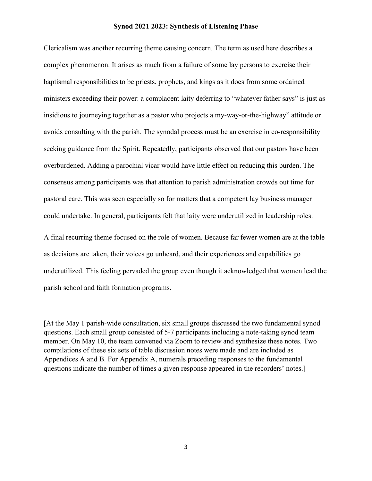#### Synod 2021 2023: Synthesis of Listening Phase

Clericalism was another recurring theme causing concern. The term as used here describes a complex phenomenon. It arises as much from a failure of some lay persons to exercise their baptismal responsibilities to be priests, prophets, and kings as it does from some ordained ministers exceeding their power: a complacent laity deferring to "whatever father says" is just as insidious to journeying together as a pastor who projects a my-way-or-the-highway" attitude or avoids consulting with the parish. The synodal process must be an exercise in co-responsibility seeking guidance from the Spirit. Repeatedly, participants observed that our pastors have been overburdened. Adding a parochial vicar would have little effect on reducing this burden. The consensus among participants was that attention to parish administration crowds out time for pastoral care. This was seen especially so for matters that a competent lay business manager could undertake. In general, participants felt that laity were underutilized in leadership roles.

A final recurring theme focused on the role of women. Because far fewer women are at the table as decisions are taken, their voices go unheard, and their experiences and capabilities go underutilized. This feeling pervaded the group even though it acknowledged that women lead the parish school and faith formation programs.

[At the May 1 parish-wide consultation, six small groups discussed the two fundamental synod questions. Each small group consisted of 5-7 participants including a note-taking synod team member. On May 10, the team convened via Zoom to review and synthesize these notes. Two compilations of these six sets of table discussion notes were made and are included as Appendices A and B. For Appendix A, numerals preceding responses to the fundamental questions indicate the number of times a given response appeared in the recorders' notes.]

3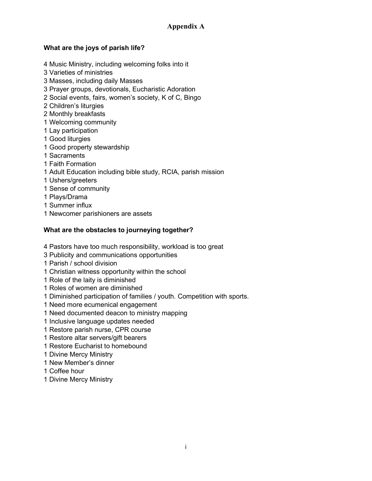# Appendix A

## What are the joys of parish life?

- 4 Music Ministry, including welcoming folks into it
- 3 Varieties of ministries
- 3 Masses, including daily Masses
- 3 Prayer groups, devotionals, Eucharistic Adoration
- 2 Social events, fairs, women's society, K of C, Bingo
- 2 Children's liturgies
- 2 Monthly breakfasts
- 1 Welcoming community
- 1 Lay participation
- 1 Good liturgies
- 1 Good property stewardship
- 1 Sacraments
- 1 Faith Formation
- 1 Adult Education including bible study, RCIA, parish mission
- 1 Ushers/greeters
- 1 Sense of community
- 1 Plays/Drama
- 1 Summer influx
- 1 Newcomer parishioners are assets

#### What are the obstacles to journeying together?

- 4 Pastors have too much responsibility, workload is too great
- 3 Publicity and communications opportunities
- 1 Parish / school division
- 1 Christian witness opportunity within the school
- 1 Role of the laity is diminished
- 1 Roles of women are diminished
- 1 Diminished participation of families / youth. Competition with sports.
- 1 Need more ecumenical engagement
- 1 Need documented deacon to ministry mapping
- 1 Inclusive language updates needed
- 1 Restore parish nurse, CPR course
- 1 Restore altar servers/gift bearers
- 1 Restore Eucharist to homebound
- 1 Divine Mercy Ministry
- 1 New Member's dinner
- 1 Coffee hour
- 1 Divine Mercy Ministry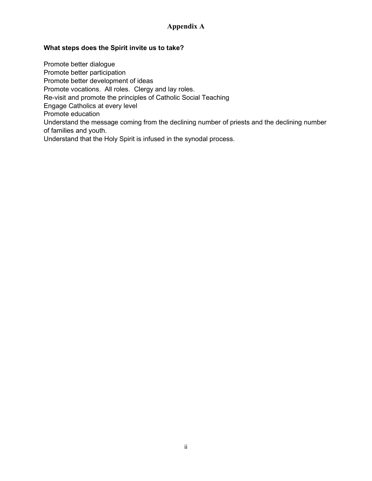## Appendix A

#### What steps does the Spirit invite us to take?

Promote better dialogue Promote better participation Promote better development of ideas Promote vocations. All roles. Clergy and lay roles. Re-visit and promote the principles of Catholic Social Teaching Engage Catholics at every level Promote education Understand the message coming from the declining number of priests and the declining number of families and youth. Understand that the Holy Spirit is infused in the synodal process.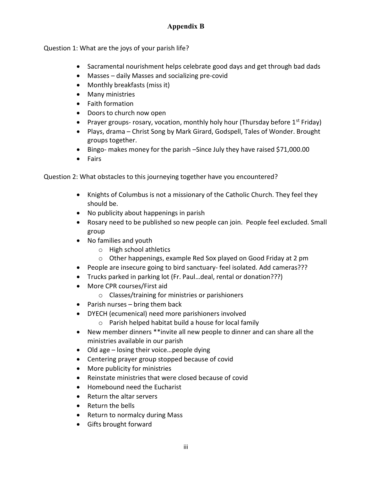# Appendix B

Question 1: What are the joys of your parish life?

- Sacramental nourishment helps celebrate good days and get through bad dads
- Masses daily Masses and socializing pre-covid
- Monthly breakfasts (miss it)
- Many ministries
- Faith formation
- Doors to church now open
- Prayer groups- rosary, vocation, monthly holy hour (Thursday before  $1^{st}$  Friday)
- Plays, drama Christ Song by Mark Girard, Godspell, Tales of Wonder. Brought groups together.
- Bingo- makes money for the parish Since July they have raised \$71,000.00
- Fairs

Question 2: What obstacles to this journeying together have you encountered?

- Knights of Columbus is not a missionary of the Catholic Church. They feel they should be.
- No publicity about happenings in parish
- Rosary need to be published so new people can join. People feel excluded. Small group
- No families and youth
	- o High school athletics
	- o Other happenings, example Red Sox played on Good Friday at 2 pm
- People are insecure going to bird sanctuary- feel isolated. Add cameras???
- Trucks parked in parking lot (Fr. Paul…deal, rental or donation???)
- More CPR courses/First aid
	- o Classes/training for ministries or parishioners
- $\bullet$  Parish nurses bring them back
- DYECH (ecumenical) need more parishioners involved
	- o Parish helped habitat build a house for local family
- New member dinners \*\*invite all new people to dinner and can share all the ministries available in our parish
- Old age losing their voice...people dying
- Centering prayer group stopped because of covid
- More publicity for ministries
- Reinstate ministries that were closed because of covid
- Homebound need the Eucharist
- Return the altar servers
- Return the bells
- Return to normalcy during Mass
- Gifts brought forward